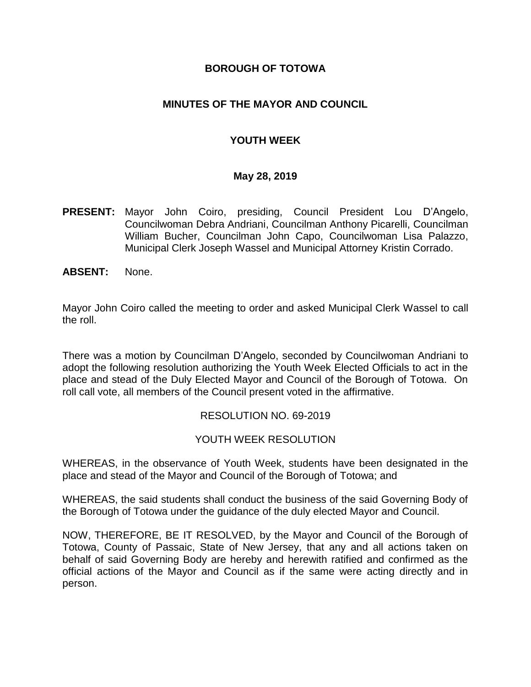#### **BOROUGH OF TOTOWA**

#### **MINUTES OF THE MAYOR AND COUNCIL**

### **YOUTH WEEK**

#### **May 28, 2019**

- **PRESENT:** Mayor John Coiro, presiding, Council President Lou D'Angelo, Councilwoman Debra Andriani, Councilman Anthony Picarelli, Councilman William Bucher, Councilman John Capo, Councilwoman Lisa Palazzo, Municipal Clerk Joseph Wassel and Municipal Attorney Kristin Corrado.
- **ABSENT:** None.

Mayor John Coiro called the meeting to order and asked Municipal Clerk Wassel to call the roll.

There was a motion by Councilman D'Angelo, seconded by Councilwoman Andriani to adopt the following resolution authorizing the Youth Week Elected Officials to act in the place and stead of the Duly Elected Mayor and Council of the Borough of Totowa. On roll call vote, all members of the Council present voted in the affirmative.

#### RESOLUTION NO. 69-2019

#### YOUTH WEEK RESOLUTION

WHEREAS, in the observance of Youth Week, students have been designated in the place and stead of the Mayor and Council of the Borough of Totowa; and

WHEREAS, the said students shall conduct the business of the said Governing Body of the Borough of Totowa under the guidance of the duly elected Mayor and Council.

NOW, THEREFORE, BE IT RESOLVED, by the Mayor and Council of the Borough of Totowa, County of Passaic, State of New Jersey, that any and all actions taken on behalf of said Governing Body are hereby and herewith ratified and confirmed as the official actions of the Mayor and Council as if the same were acting directly and in person.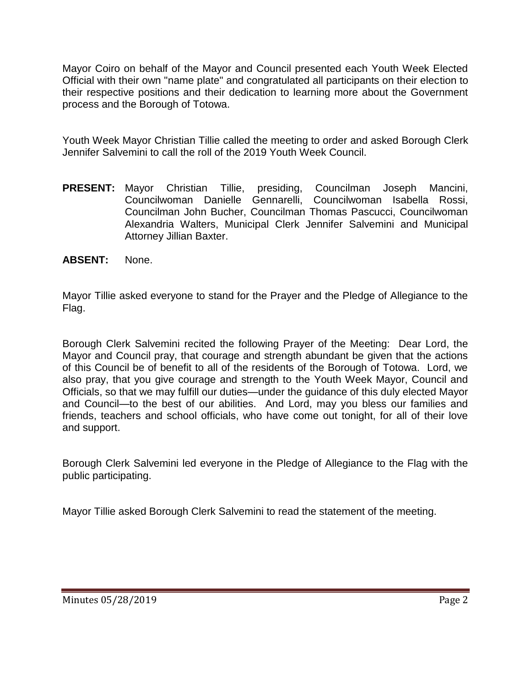Mayor Coiro on behalf of the Mayor and Council presented each Youth Week Elected Official with their own "name plate" and congratulated all participants on their election to their respective positions and their dedication to learning more about the Government process and the Borough of Totowa.

Youth Week Mayor Christian Tillie called the meeting to order and asked Borough Clerk Jennifer Salvemini to call the roll of the 2019 Youth Week Council.

- **PRESENT:** Mayor Christian Tillie, presiding, Councilman Joseph Mancini, Councilwoman Danielle Gennarelli, Councilwoman Isabella Rossi, Councilman John Bucher, Councilman Thomas Pascucci, Councilwoman Alexandria Walters, Municipal Clerk Jennifer Salvemini and Municipal Attorney Jillian Baxter.
- **ABSENT:** None.

Mayor Tillie asked everyone to stand for the Prayer and the Pledge of Allegiance to the Flag.

Borough Clerk Salvemini recited the following Prayer of the Meeting: Dear Lord, the Mayor and Council pray, that courage and strength abundant be given that the actions of this Council be of benefit to all of the residents of the Borough of Totowa. Lord, we also pray, that you give courage and strength to the Youth Week Mayor, Council and Officials, so that we may fulfill our duties—under the guidance of this duly elected Mayor and Council—to the best of our abilities. And Lord, may you bless our families and friends, teachers and school officials, who have come out tonight, for all of their love and support.

Borough Clerk Salvemini led everyone in the Pledge of Allegiance to the Flag with the public participating.

Mayor Tillie asked Borough Clerk Salvemini to read the statement of the meeting.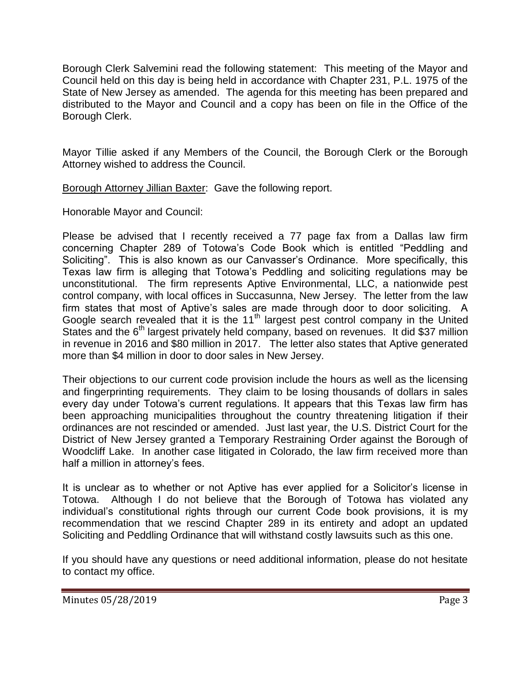Borough Clerk Salvemini read the following statement: This meeting of the Mayor and Council held on this day is being held in accordance with Chapter 231, P.L. 1975 of the State of New Jersey as amended. The agenda for this meeting has been prepared and distributed to the Mayor and Council and a copy has been on file in the Office of the Borough Clerk.

Mayor Tillie asked if any Members of the Council, the Borough Clerk or the Borough Attorney wished to address the Council.

Borough Attorney Jillian Baxter: Gave the following report.

Honorable Mayor and Council:

Please be advised that I recently received a 77 page fax from a Dallas law firm concerning Chapter 289 of Totowa's Code Book which is entitled "Peddling and Soliciting". This is also known as our Canvasser's Ordinance. More specifically, this Texas law firm is alleging that Totowa's Peddling and soliciting regulations may be unconstitutional. The firm represents Aptive Environmental, LLC, a nationwide pest control company, with local offices in Succasunna, New Jersey. The letter from the law firm states that most of Aptive's sales are made through door to door soliciting. A Google search revealed that it is the  $11<sup>th</sup>$  largest pest control company in the United States and the  $6<sup>th</sup>$  largest privately held company, based on revenues. It did \$37 million in revenue in 2016 and \$80 million in 2017. The letter also states that Aptive generated more than \$4 million in door to door sales in New Jersey.

Their objections to our current code provision include the hours as well as the licensing and fingerprinting requirements. They claim to be losing thousands of dollars in sales every day under Totowa's current regulations. It appears that this Texas law firm has been approaching municipalities throughout the country threatening litigation if their ordinances are not rescinded or amended. Just last year, the U.S. District Court for the District of New Jersey granted a Temporary Restraining Order against the Borough of Woodcliff Lake. In another case litigated in Colorado, the law firm received more than half a million in attorney's fees.

It is unclear as to whether or not Aptive has ever applied for a Solicitor's license in Totowa. Although I do not believe that the Borough of Totowa has violated any individual's constitutional rights through our current Code book provisions, it is my recommendation that we rescind Chapter 289 in its entirety and adopt an updated Soliciting and Peddling Ordinance that will withstand costly lawsuits such as this one.

If you should have any questions or need additional information, please do not hesitate to contact my office.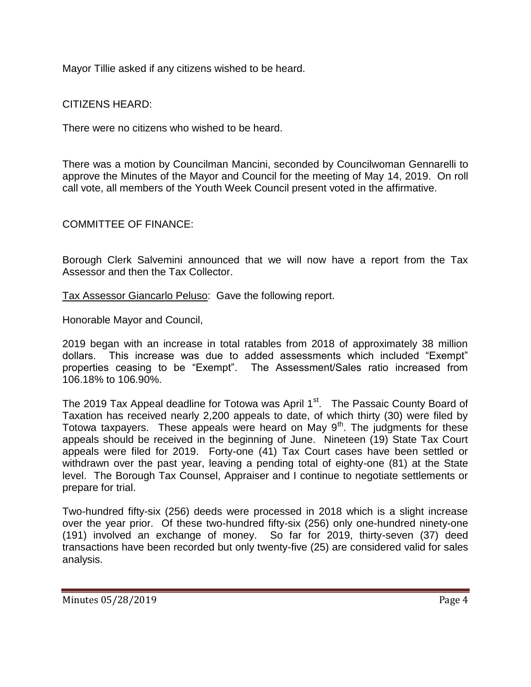Mayor Tillie asked if any citizens wished to be heard.

CITIZENS HEARD:

There were no citizens who wished to be heard.

There was a motion by Councilman Mancini, seconded by Councilwoman Gennarelli to approve the Minutes of the Mayor and Council for the meeting of May 14, 2019. On roll call vote, all members of the Youth Week Council present voted in the affirmative.

COMMITTEE OF FINANCE:

Borough Clerk Salvemini announced that we will now have a report from the Tax Assessor and then the Tax Collector.

Tax Assessor Giancarlo Peluso: Gave the following report.

Honorable Mayor and Council,

2019 began with an increase in total ratables from 2018 of approximately 38 million dollars. This increase was due to added assessments which included "Exempt" properties ceasing to be "Exempt". The Assessment/Sales ratio increased from 106.18% to 106.90%.

The 2019 Tax Appeal deadline for Totowa was April 1<sup>st</sup>. The Passaic County Board of Taxation has received nearly 2,200 appeals to date, of which thirty (30) were filed by Totowa taxpayers. These appeals were heard on May  $9<sup>th</sup>$ . The judgments for these appeals should be received in the beginning of June. Nineteen (19) State Tax Court appeals were filed for 2019. Forty-one (41) Tax Court cases have been settled or withdrawn over the past year, leaving a pending total of eighty-one (81) at the State level. The Borough Tax Counsel, Appraiser and I continue to negotiate settlements or prepare for trial.

Two-hundred fifty-six (256) deeds were processed in 2018 which is a slight increase over the year prior. Of these two-hundred fifty-six (256) only one-hundred ninety-one (191) involved an exchange of money. So far for 2019, thirty-seven (37) deed transactions have been recorded but only twenty-five (25) are considered valid for sales analysis.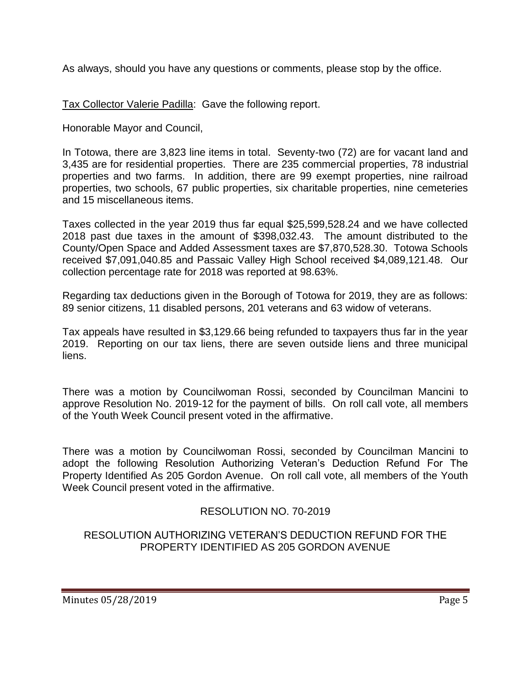As always, should you have any questions or comments, please stop by the office.

Tax Collector Valerie Padilla: Gave the following report.

Honorable Mayor and Council,

In Totowa, there are 3,823 line items in total. Seventy-two (72) are for vacant land and 3,435 are for residential properties. There are 235 commercial properties, 78 industrial properties and two farms. In addition, there are 99 exempt properties, nine railroad properties, two schools, 67 public properties, six charitable properties, nine cemeteries and 15 miscellaneous items.

Taxes collected in the year 2019 thus far equal \$25,599,528.24 and we have collected 2018 past due taxes in the amount of \$398,032.43. The amount distributed to the County/Open Space and Added Assessment taxes are \$7,870,528.30. Totowa Schools received \$7,091,040.85 and Passaic Valley High School received \$4,089,121.48. Our collection percentage rate for 2018 was reported at 98.63%.

Regarding tax deductions given in the Borough of Totowa for 2019, they are as follows: 89 senior citizens, 11 disabled persons, 201 veterans and 63 widow of veterans.

Tax appeals have resulted in \$3,129.66 being refunded to taxpayers thus far in the year 2019. Reporting on our tax liens, there are seven outside liens and three municipal liens.

There was a motion by Councilwoman Rossi, seconded by Councilman Mancini to approve Resolution No. 2019-12 for the payment of bills. On roll call vote, all members of the Youth Week Council present voted in the affirmative.

There was a motion by Councilwoman Rossi, seconded by Councilman Mancini to adopt the following Resolution Authorizing Veteran's Deduction Refund For The Property Identified As 205 Gordon Avenue. On roll call vote, all members of the Youth Week Council present voted in the affirmative.

# RESOLUTION NO. 70-2019

### RESOLUTION AUTHORIZING VETERAN'S DEDUCTION REFUND FOR THE PROPERTY IDENTIFIED AS 205 GORDON AVENUE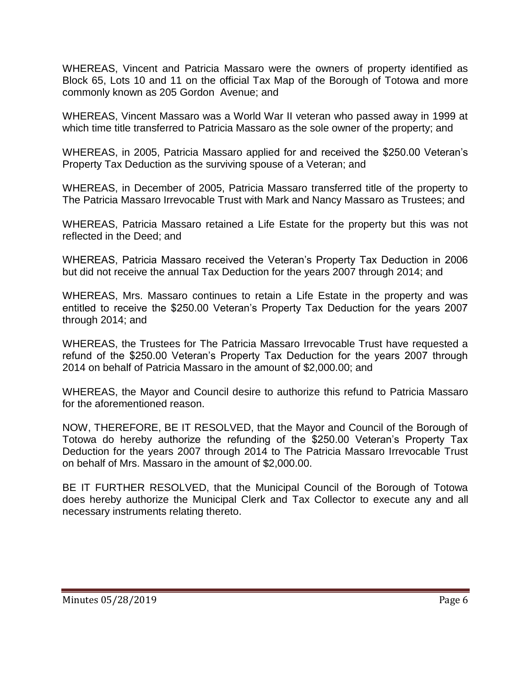WHEREAS, Vincent and Patricia Massaro were the owners of property identified as Block 65, Lots 10 and 11 on the official Tax Map of the Borough of Totowa and more commonly known as 205 Gordon Avenue; and

WHEREAS, Vincent Massaro was a World War II veteran who passed away in 1999 at which time title transferred to Patricia Massaro as the sole owner of the property; and

WHEREAS, in 2005, Patricia Massaro applied for and received the \$250.00 Veteran's Property Tax Deduction as the surviving spouse of a Veteran; and

WHEREAS, in December of 2005, Patricia Massaro transferred title of the property to The Patricia Massaro Irrevocable Trust with Mark and Nancy Massaro as Trustees; and

WHEREAS, Patricia Massaro retained a Life Estate for the property but this was not reflected in the Deed; and

WHEREAS, Patricia Massaro received the Veteran's Property Tax Deduction in 2006 but did not receive the annual Tax Deduction for the years 2007 through 2014; and

WHEREAS, Mrs. Massaro continues to retain a Life Estate in the property and was entitled to receive the \$250.00 Veteran's Property Tax Deduction for the years 2007 through 2014; and

WHEREAS, the Trustees for The Patricia Massaro Irrevocable Trust have requested a refund of the \$250.00 Veteran's Property Tax Deduction for the years 2007 through 2014 on behalf of Patricia Massaro in the amount of \$2,000.00; and

WHEREAS, the Mayor and Council desire to authorize this refund to Patricia Massaro for the aforementioned reason.

NOW, THEREFORE, BE IT RESOLVED, that the Mayor and Council of the Borough of Totowa do hereby authorize the refunding of the \$250.00 Veteran's Property Tax Deduction for the years 2007 through 2014 to The Patricia Massaro Irrevocable Trust on behalf of Mrs. Massaro in the amount of \$2,000.00.

BE IT FURTHER RESOLVED, that the Municipal Council of the Borough of Totowa does hereby authorize the Municipal Clerk and Tax Collector to execute any and all necessary instruments relating thereto.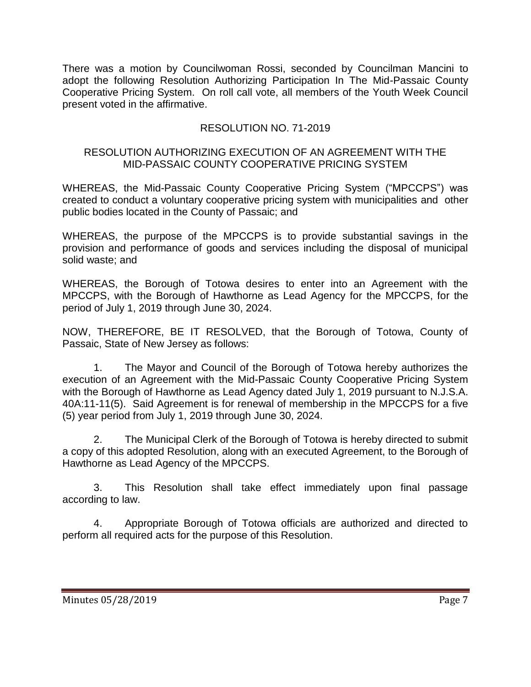There was a motion by Councilwoman Rossi, seconded by Councilman Mancini to adopt the following Resolution Authorizing Participation In The Mid-Passaic County Cooperative Pricing System. On roll call vote, all members of the Youth Week Council present voted in the affirmative.

### RESOLUTION NO. 71-2019

#### RESOLUTION AUTHORIZING EXECUTION OF AN AGREEMENT WITH THE MID-PASSAIC COUNTY COOPERATIVE PRICING SYSTEM

WHEREAS, the Mid-Passaic County Cooperative Pricing System ("MPCCPS") was created to conduct a voluntary cooperative pricing system with municipalities and other public bodies located in the County of Passaic; and

WHEREAS, the purpose of the MPCCPS is to provide substantial savings in the provision and performance of goods and services including the disposal of municipal solid waste; and

WHEREAS, the Borough of Totowa desires to enter into an Agreement with the MPCCPS, with the Borough of Hawthorne as Lead Agency for the MPCCPS, for the period of July 1, 2019 through June 30, 2024.

NOW, THEREFORE, BE IT RESOLVED, that the Borough of Totowa, County of Passaic, State of New Jersey as follows:

1. The Mayor and Council of the Borough of Totowa hereby authorizes the execution of an Agreement with the Mid-Passaic County Cooperative Pricing System with the Borough of Hawthorne as Lead Agency dated July 1, 2019 pursuant to N.J.S.A. 40A:11-11(5). Said Agreement is for renewal of membership in the MPCCPS for a five (5) year period from July 1, 2019 through June 30, 2024.

2. The Municipal Clerk of the Borough of Totowa is hereby directed to submit a copy of this adopted Resolution, along with an executed Agreement, to the Borough of Hawthorne as Lead Agency of the MPCCPS.

3. This Resolution shall take effect immediately upon final passage according to law.

4. Appropriate Borough of Totowa officials are authorized and directed to perform all required acts for the purpose of this Resolution.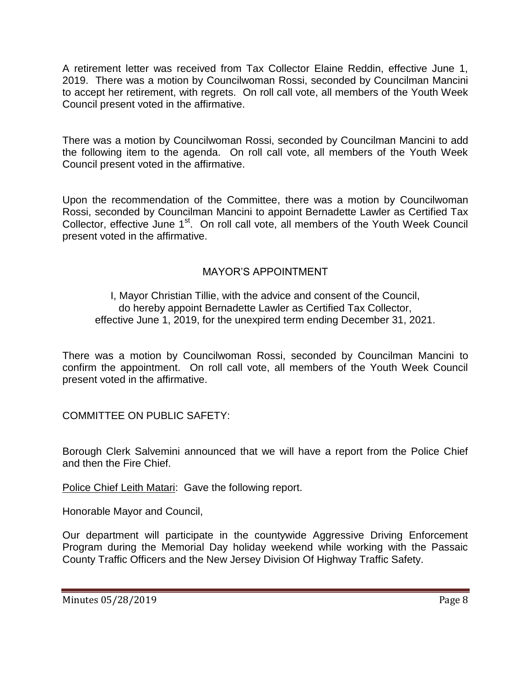A retirement letter was received from Tax Collector Elaine Reddin, effective June 1, 2019. There was a motion by Councilwoman Rossi, seconded by Councilman Mancini to accept her retirement, with regrets. On roll call vote, all members of the Youth Week Council present voted in the affirmative.

There was a motion by Councilwoman Rossi, seconded by Councilman Mancini to add the following item to the agenda. On roll call vote, all members of the Youth Week Council present voted in the affirmative.

Upon the recommendation of the Committee, there was a motion by Councilwoman Rossi, seconded by Councilman Mancini to appoint Bernadette Lawler as Certified Tax Collector, effective June 1<sup>st</sup>. On roll call vote, all members of the Youth Week Council present voted in the affirmative.

# MAYOR'S APPOINTMENT

#### I, Mayor Christian Tillie, with the advice and consent of the Council, do hereby appoint Bernadette Lawler as Certified Tax Collector, effective June 1, 2019, for the unexpired term ending December 31, 2021.

There was a motion by Councilwoman Rossi, seconded by Councilman Mancini to confirm the appointment. On roll call vote, all members of the Youth Week Council present voted in the affirmative.

COMMITTEE ON PUBLIC SAFETY:

Borough Clerk Salvemini announced that we will have a report from the Police Chief and then the Fire Chief.

Police Chief Leith Matari: Gave the following report.

Honorable Mayor and Council,

Our department will participate in the countywide Aggressive Driving Enforcement Program during the Memorial Day holiday weekend while working with the Passaic County Traffic Officers and the New Jersey Division Of Highway Traffic Safety.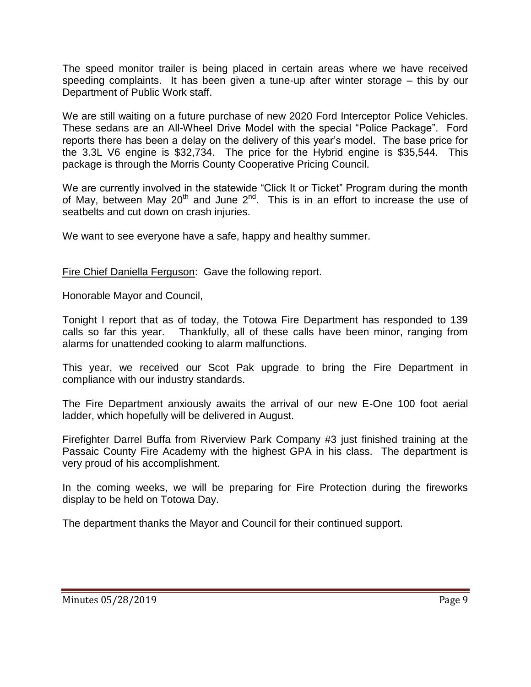The speed monitor trailer is being placed in certain areas where we have received speeding complaints. It has been given a tune-up after winter storage – this by our Department of Public Work staff.

We are still waiting on a future purchase of new 2020 Ford Interceptor Police Vehicles. These sedans are an All-Wheel Drive Model with the special "Police Package". Ford reports there has been a delay on the delivery of this year's model. The base price for the 3.3L V6 engine is \$32,734. The price for the Hybrid engine is \$35,544. This package is through the Morris County Cooperative Pricing Council.

We are currently involved in the statewide "Click It or Ticket" Program during the month of May, between May 20<sup>th</sup> and June 2<sup>nd</sup>. This is in an effort to increase the use of seatbelts and cut down on crash injuries.

We want to see everyone have a safe, happy and healthy summer.

Fire Chief Daniella Ferguson: Gave the following report.

Honorable Mayor and Council,

Tonight I report that as of today, the Totowa Fire Department has responded to 139 calls so far this year. Thankfully, all of these calls have been minor, ranging from alarms for unattended cooking to alarm malfunctions.

This year, we received our Scot Pak upgrade to bring the Fire Department in compliance with our industry standards.

The Fire Department anxiously awaits the arrival of our new E-One 100 foot aerial ladder, which hopefully will be delivered in August.

Firefighter Darrel Buffa from Riverview Park Company #3 just finished training at the Passaic County Fire Academy with the highest GPA in his class. The department is very proud of his accomplishment.

In the coming weeks, we will be preparing for Fire Protection during the fireworks display to be held on Totowa Day.

The department thanks the Mayor and Council for their continued support.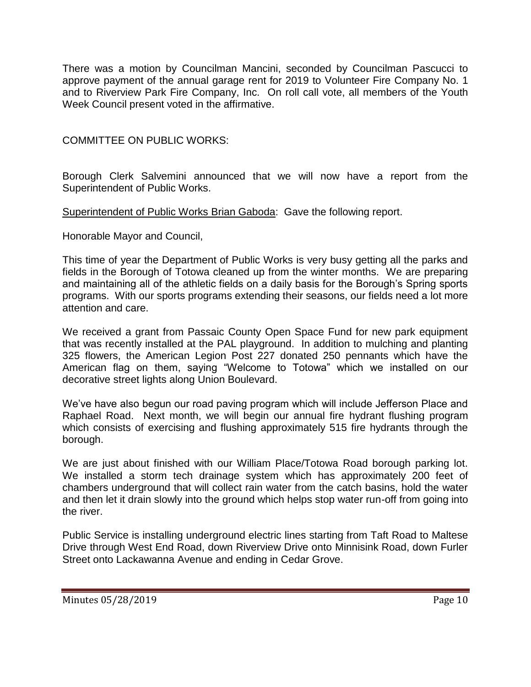There was a motion by Councilman Mancini, seconded by Councilman Pascucci to approve payment of the annual garage rent for 2019 to Volunteer Fire Company No. 1 and to Riverview Park Fire Company, Inc. On roll call vote, all members of the Youth Week Council present voted in the affirmative.

COMMITTEE ON PUBLIC WORKS:

Borough Clerk Salvemini announced that we will now have a report from the Superintendent of Public Works.

Superintendent of Public Works Brian Gaboda: Gave the following report.

Honorable Mayor and Council,

This time of year the Department of Public Works is very busy getting all the parks and fields in the Borough of Totowa cleaned up from the winter months. We are preparing and maintaining all of the athletic fields on a daily basis for the Borough's Spring sports programs. With our sports programs extending their seasons, our fields need a lot more attention and care.

We received a grant from Passaic County Open Space Fund for new park equipment that was recently installed at the PAL playground. In addition to mulching and planting 325 flowers, the American Legion Post 227 donated 250 pennants which have the American flag on them, saying "Welcome to Totowa" which we installed on our decorative street lights along Union Boulevard.

We've have also begun our road paving program which will include Jefferson Place and Raphael Road. Next month, we will begin our annual fire hydrant flushing program which consists of exercising and flushing approximately 515 fire hydrants through the borough.

We are just about finished with our William Place/Totowa Road borough parking lot. We installed a storm tech drainage system which has approximately 200 feet of chambers underground that will collect rain water from the catch basins, hold the water and then let it drain slowly into the ground which helps stop water run-off from going into the river.

Public Service is installing underground electric lines starting from Taft Road to Maltese Drive through West End Road, down Riverview Drive onto Minnisink Road, down Furler Street onto Lackawanna Avenue and ending in Cedar Grove.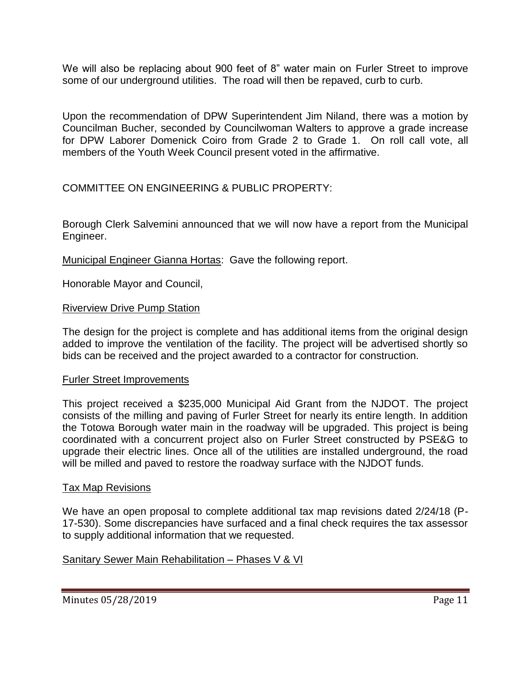We will also be replacing about 900 feet of 8" water main on Furler Street to improve some of our underground utilities. The road will then be repaved, curb to curb.

Upon the recommendation of DPW Superintendent Jim Niland, there was a motion by Councilman Bucher, seconded by Councilwoman Walters to approve a grade increase for DPW Laborer Domenick Coiro from Grade 2 to Grade 1. On roll call vote, all members of the Youth Week Council present voted in the affirmative.

### COMMITTEE ON ENGINEERING & PUBLIC PROPERTY:

Borough Clerk Salvemini announced that we will now have a report from the Municipal Engineer.

Municipal Engineer Gianna Hortas: Gave the following report.

Honorable Mayor and Council,

#### Riverview Drive Pump Station

The design for the project is complete and has additional items from the original design added to improve the ventilation of the facility. The project will be advertised shortly so bids can be received and the project awarded to a contractor for construction.

#### Furler Street Improvements

This project received a \$235,000 Municipal Aid Grant from the NJDOT. The project consists of the milling and paving of Furler Street for nearly its entire length. In addition the Totowa Borough water main in the roadway will be upgraded. This project is being coordinated with a concurrent project also on Furler Street constructed by PSE&G to upgrade their electric lines. Once all of the utilities are installed underground, the road will be milled and paved to restore the roadway surface with the NJDOT funds.

#### Tax Map Revisions

We have an open proposal to complete additional tax map revisions dated 2/24/18 (P-17-530). Some discrepancies have surfaced and a final check requires the tax assessor to supply additional information that we requested.

### Sanitary Sewer Main Rehabilitation – Phases V & VI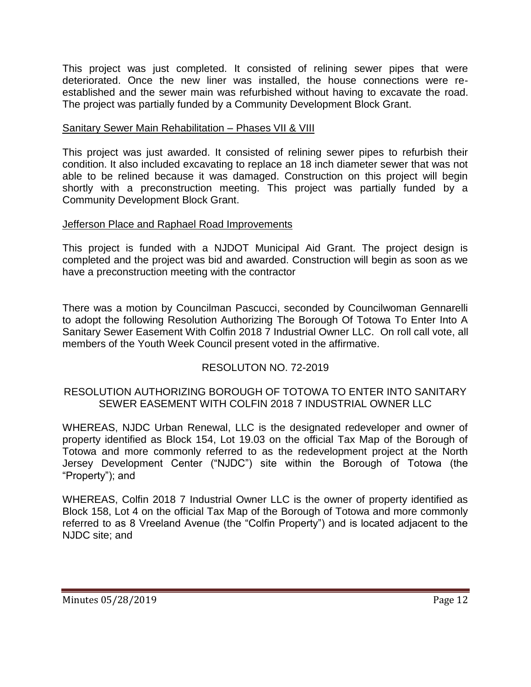This project was just completed. It consisted of relining sewer pipes that were deteriorated. Once the new liner was installed, the house connections were reestablished and the sewer main was refurbished without having to excavate the road. The project was partially funded by a Community Development Block Grant.

### Sanitary Sewer Main Rehabilitation - Phases VII & VIII

This project was just awarded. It consisted of relining sewer pipes to refurbish their condition. It also included excavating to replace an 18 inch diameter sewer that was not able to be relined because it was damaged. Construction on this project will begin shortly with a preconstruction meeting. This project was partially funded by a Community Development Block Grant.

### Jefferson Place and Raphael Road Improvements

This project is funded with a NJDOT Municipal Aid Grant. The project design is completed and the project was bid and awarded. Construction will begin as soon as we have a preconstruction meeting with the contractor

There was a motion by Councilman Pascucci, seconded by Councilwoman Gennarelli to adopt the following Resolution Authorizing The Borough Of Totowa To Enter Into A Sanitary Sewer Easement With Colfin 2018 7 Industrial Owner LLC. On roll call vote, all members of the Youth Week Council present voted in the affirmative.

# RESOLUTON NO. 72-2019

### RESOLUTION AUTHORIZING BOROUGH OF TOTOWA TO ENTER INTO SANITARY SEWER EASEMENT WITH COLFIN 2018 7 INDUSTRIAL OWNER LLC

WHEREAS, NJDC Urban Renewal, LLC is the designated redeveloper and owner of property identified as Block 154, Lot 19.03 on the official Tax Map of the Borough of Totowa and more commonly referred to as the redevelopment project at the North Jersey Development Center ("NJDC") site within the Borough of Totowa (the "Property"); and

WHEREAS, Colfin 2018 7 Industrial Owner LLC is the owner of property identified as Block 158, Lot 4 on the official Tax Map of the Borough of Totowa and more commonly referred to as 8 Vreeland Avenue (the "Colfin Property") and is located adjacent to the NJDC site; and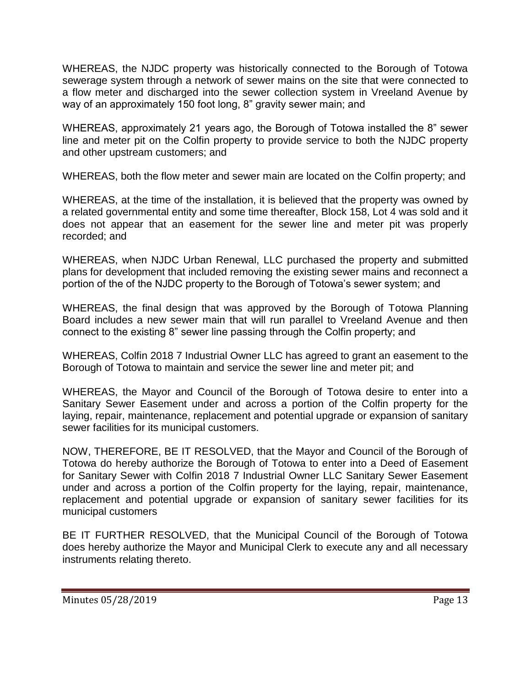WHEREAS, the NJDC property was historically connected to the Borough of Totowa sewerage system through a network of sewer mains on the site that were connected to a flow meter and discharged into the sewer collection system in Vreeland Avenue by way of an approximately 150 foot long, 8" gravity sewer main; and

WHEREAS, approximately 21 years ago, the Borough of Totowa installed the 8" sewer line and meter pit on the Colfin property to provide service to both the NJDC property and other upstream customers; and

WHEREAS, both the flow meter and sewer main are located on the Colfin property; and

WHEREAS, at the time of the installation, it is believed that the property was owned by a related governmental entity and some time thereafter, Block 158, Lot 4 was sold and it does not appear that an easement for the sewer line and meter pit was properly recorded; and

WHEREAS, when NJDC Urban Renewal, LLC purchased the property and submitted plans for development that included removing the existing sewer mains and reconnect a portion of the of the NJDC property to the Borough of Totowa's sewer system; and

WHEREAS, the final design that was approved by the Borough of Totowa Planning Board includes a new sewer main that will run parallel to Vreeland Avenue and then connect to the existing 8" sewer line passing through the Colfin property; and

WHEREAS, Colfin 2018 7 Industrial Owner LLC has agreed to grant an easement to the Borough of Totowa to maintain and service the sewer line and meter pit; and

WHEREAS, the Mayor and Council of the Borough of Totowa desire to enter into a Sanitary Sewer Easement under and across a portion of the Colfin property for the laying, repair, maintenance, replacement and potential upgrade or expansion of sanitary sewer facilities for its municipal customers.

NOW, THEREFORE, BE IT RESOLVED, that the Mayor and Council of the Borough of Totowa do hereby authorize the Borough of Totowa to enter into a Deed of Easement for Sanitary Sewer with Colfin 2018 7 Industrial Owner LLC Sanitary Sewer Easement under and across a portion of the Colfin property for the laying, repair, maintenance, replacement and potential upgrade or expansion of sanitary sewer facilities for its municipal customers

BE IT FURTHER RESOLVED, that the Municipal Council of the Borough of Totowa does hereby authorize the Mayor and Municipal Clerk to execute any and all necessary instruments relating thereto.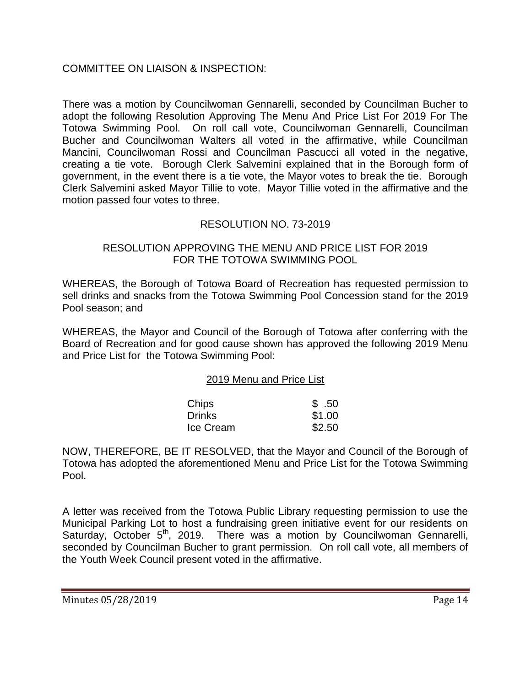### COMMITTEE ON LIAISON & INSPECTION:

There was a motion by Councilwoman Gennarelli, seconded by Councilman Bucher to adopt the following Resolution Approving The Menu And Price List For 2019 For The Totowa Swimming Pool. On roll call vote, Councilwoman Gennarelli, Councilman Bucher and Councilwoman Walters all voted in the affirmative, while Councilman Mancini, Councilwoman Rossi and Councilman Pascucci all voted in the negative, creating a tie vote. Borough Clerk Salvemini explained that in the Borough form of government, in the event there is a tie vote, the Mayor votes to break the tie. Borough Clerk Salvemini asked Mayor Tillie to vote. Mayor Tillie voted in the affirmative and the motion passed four votes to three.

### RESOLUTION NO. 73-2019

#### RESOLUTION APPROVING THE MENU AND PRICE LIST FOR 2019 FOR THE TOTOWA SWIMMING POOL

WHEREAS, the Borough of Totowa Board of Recreation has requested permission to sell drinks and snacks from the Totowa Swimming Pool Concession stand for the 2019 Pool season; and

WHEREAS, the Mayor and Council of the Borough of Totowa after conferring with the Board of Recreation and for good cause shown has approved the following 2019 Menu and Price List for the Totowa Swimming Pool:

#### 2019 Menu and Price List

| Chips         | \$.50  |
|---------------|--------|
| <b>Drinks</b> | \$1.00 |
| Ice Cream     | \$2.50 |

NOW, THEREFORE, BE IT RESOLVED, that the Mayor and Council of the Borough of Totowa has adopted the aforementioned Menu and Price List for the Totowa Swimming Pool.

A letter was received from the Totowa Public Library requesting permission to use the Municipal Parking Lot to host a fundraising green initiative event for our residents on Saturday, October 5<sup>th</sup>, 2019. There was a motion by Councilwoman Gennarelli, seconded by Councilman Bucher to grant permission. On roll call vote, all members of the Youth Week Council present voted in the affirmative.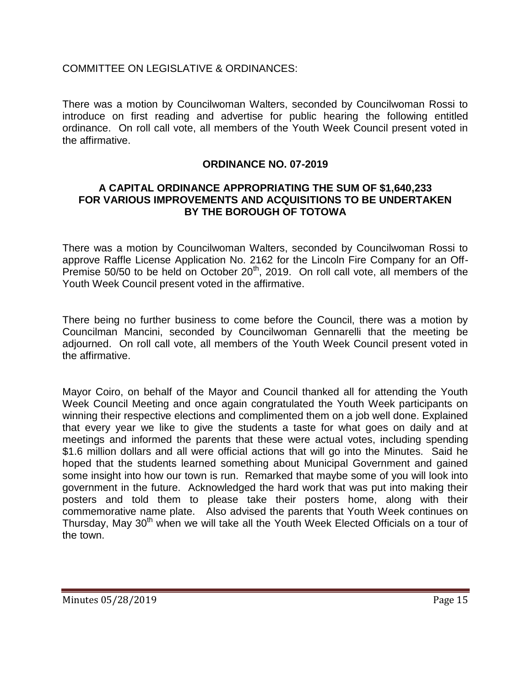### COMMITTEE ON LEGISLATIVE & ORDINANCES:

There was a motion by Councilwoman Walters, seconded by Councilwoman Rossi to introduce on first reading and advertise for public hearing the following entitled ordinance. On roll call vote, all members of the Youth Week Council present voted in the affirmative.

#### **ORDINANCE NO. 07-2019**

#### **A CAPITAL ORDINANCE APPROPRIATING THE SUM OF \$1,640,233 FOR VARIOUS IMPROVEMENTS AND ACQUISITIONS TO BE UNDERTAKEN BY THE BOROUGH OF TOTOWA**

There was a motion by Councilwoman Walters, seconded by Councilwoman Rossi to approve Raffle License Application No. 2162 for the Lincoln Fire Company for an Off-Premise 50/50 to be held on October  $20<sup>th</sup>$ , 2019. On roll call vote, all members of the Youth Week Council present voted in the affirmative.

There being no further business to come before the Council, there was a motion by Councilman Mancini, seconded by Councilwoman Gennarelli that the meeting be adjourned. On roll call vote, all members of the Youth Week Council present voted in the affirmative.

Mayor Coiro, on behalf of the Mayor and Council thanked all for attending the Youth Week Council Meeting and once again congratulated the Youth Week participants on winning their respective elections and complimented them on a job well done. Explained that every year we like to give the students a taste for what goes on daily and at meetings and informed the parents that these were actual votes, including spending \$1.6 million dollars and all were official actions that will go into the Minutes. Said he hoped that the students learned something about Municipal Government and gained some insight into how our town is run. Remarked that maybe some of you will look into government in the future. Acknowledged the hard work that was put into making their posters and told them to please take their posters home, along with their commemorative name plate. Also advised the parents that Youth Week continues on Thursday, May 30<sup>th</sup> when we will take all the Youth Week Elected Officials on a tour of the town.